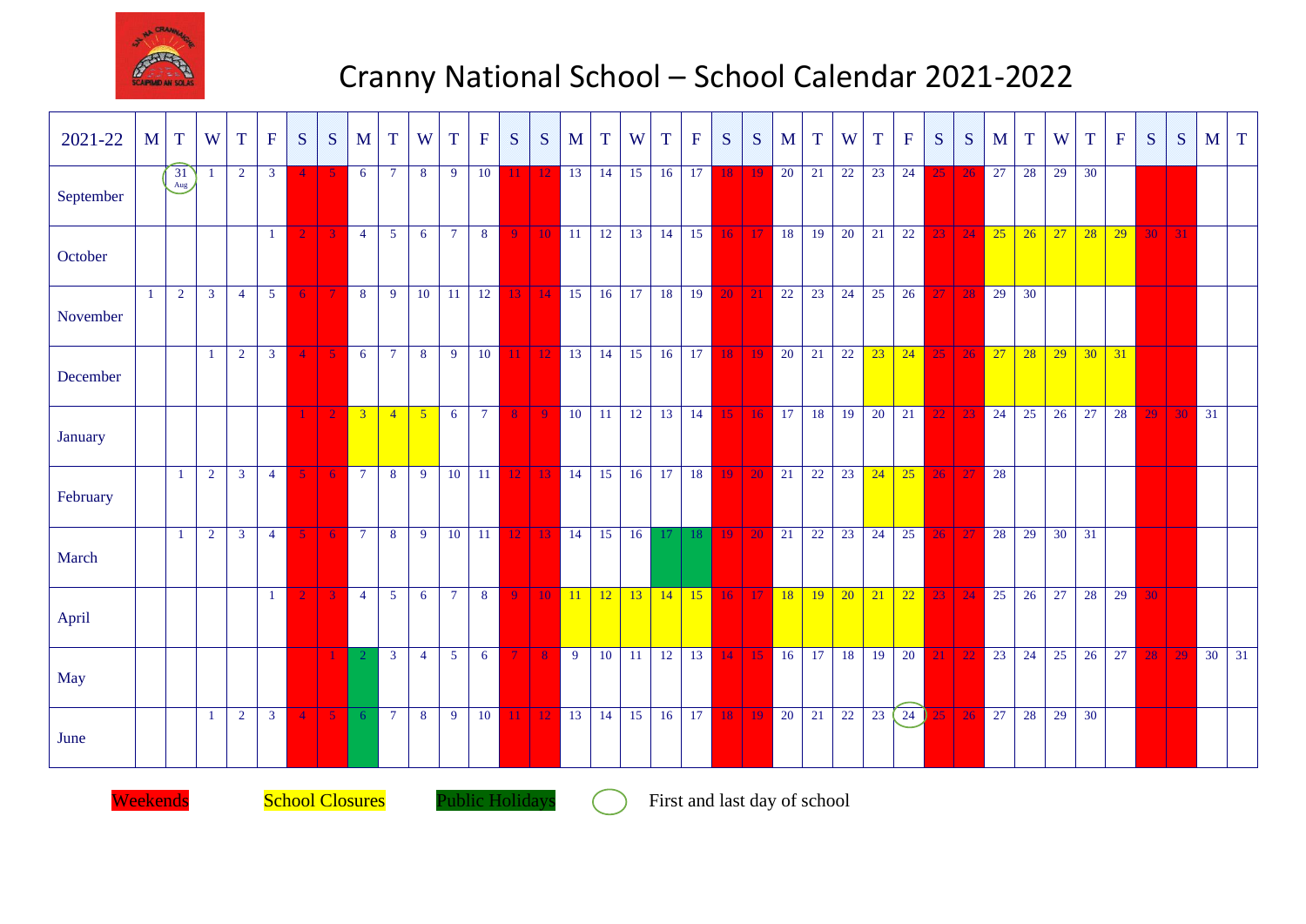

## Cranny National School – School Calendar 2021-2022

| 2021-22        | M     | $\mathbf T$                    | W              | $\mathbf T$    | $\mathbf F$    | S              | $\mathbf S$     | M              | $\mathbf T$     | W              | $\mathbf T$  | $\mathbf F$    | S              | S                               | M                                                                      | $\mathbf T$  | W  | T             | $\mathbf{F}$              | S | S            | M               | $\mathbf T$     | W                 | T               | $\mathbf F$      | S                         | S             | M               | T                  | W  | T               | $\mathbf F$ | S               | S               | M <sub>1</sub>  | T            |
|----------------|-------|--------------------------------|----------------|----------------|----------------|----------------|-----------------|----------------|-----------------|----------------|--------------|----------------|----------------|---------------------------------|------------------------------------------------------------------------|--------------|----|---------------|---------------------------|---|--------------|-----------------|-----------------|-------------------|-----------------|------------------|---------------------------|---------------|-----------------|--------------------|----|-----------------|-------------|-----------------|-----------------|-----------------|--------------|
| September      |       | 31<br>$\overline{\phantom{a}}$ | $\mathbf{1}$   | $\overline{2}$ | 3 <sup>1</sup> | $\overline{4}$ | -51             | 6              | $\overline{7}$  | 8              | -9           | $10-1$         |                | $11 \t12$                       | 13                                                                     | 14           | 15 | <b>16</b>     | 17                        |   | $18$   19    | $\overline{20}$ | $\overline{21}$ | 22                | $\overline{23}$ | $\overline{24}$  | 25                        | 26            | 27              | 28                 | 29 | 30              |             |                 |                 |                 |              |
| October        |       |                                |                |                | $\mathbf{1}$   | $2-1$          | $\mathbf{3}$    | $\overline{4}$ | 5 <sup>5</sup>  | 6              | $7^{\circ}$  | 8 <sup>1</sup> |                | $9 \mid 10$                     | $\boxed{11}$                                                           | $\boxed{12}$ |    | $13 \mid 14$  | 15                        |   | $16$ 17      | 18              | 19              | 20                | $\overline{21}$ | 22               |                           | $23 \mid 24$  |                 | $25 \mid 26 \mid$  | 27 | 28              | 29          |                 | $30 \mid 31$    |                 |              |
| November       | $\pm$ | $\overline{2}$                 | $\mathbf{3}$   | $\overline{4}$ | $5-1$          | 6 <sup>1</sup> | $\tau$          | 8 <sup>8</sup> | $\overline{9}$  | 10             | $\boxed{11}$ | 12             |                | $13 \mid 14$                    | $\boxed{15}$                                                           | 16           |    | $17$ 18       | 19                        |   | $20 \mid 21$ | $\overline{22}$ | $\overline{23}$ | 24                | $\overline{25}$ | 26               | $\boxed{27}$ $\boxed{28}$ |               |                 | $29 \overline{30}$ |    |                 |             |                 |                 |                 |              |
| December       |       |                                | $\mathbf{1}$   | $\overline{2}$ | $3-1$          | $\overline{4}$ | $\vert$ 5       | 6              | $7^{\circ}$     | 8              | 9            | 10             |                | $11 \overline{12}$              | $\begin{array}{ c c c c c }\n\hline\n13 & 14 \\ \hline\n\end{array}$   |              |    | $15 \mid 16$  | $\boxed{17}$              |   | 18 19 20     |                 | 21              | $\overline{22}$   | 23              | 24               | 25                        | $-26$         |                 | $27 \mid 28$       | 29 | 30 <sup>°</sup> | 31          |                 |                 |                 |              |
| <b>January</b> |       |                                |                |                |                | $1 - 1$        | $\vert 2 \vert$ | 3 <sup>o</sup> | $\overline{4}$  | 5 <sup>1</sup> | 6            | 7 <sup>1</sup> | 8 <sup>°</sup> | - 9                             | 10                                                                     | $-11$        |    |               | $12 \mid 13 \mid 14 \mid$ |   | 15 16 17     |                 | 18              | 19                | $\overline{20}$ | $\boxed{21}$     |                           | $22 \quad 23$ | 24              | 25                 | 26 | 27              | 28          | 29              | 30 <sup>°</sup> | $\overline{31}$ |              |
| February       |       | $\overline{1}$                 | $\overline{2}$ | $\mathbf{3}$   | $\overline{4}$ | 5 <sup>1</sup> | 6               | $7^{\circ}$    | 8 <sup>°</sup>  | $\overline{9}$ | 10           | 11             |                | $12 \mid 13$                    | $\vert$ 14                                                             | 15           |    | $16 \mid 17$  | 18                        |   | $19 \mid 20$ | $\boxed{21}$    | 22              | 23                | 24              | 25               |                           | $26 \mid 27$  | 28              |                    |    |                 |             |                 |                 |                 |              |
| March          |       | $\overline{1}$                 | 2              | $\overline{3}$ | 4 <sup>1</sup> | 5 <sub>1</sub> | $-6$            | $\overline{7}$ | 8               | $\overline{9}$ | 10           | 11             |                | $\overline{12}$ $\overline{13}$ | $\begin{array}{ c c c c c }\n\hline\n14 & 15\n\end{array}$             |              | 16 |               | $17$   18                 |   | $19$ 20      | $\overline{21}$ | $\overline{22}$ | 23                | 24              | 25               | $26 \mid 27$              |               | $\overline{28}$ | 29                 | 30 | $\overline{31}$ |             |                 |                 |                 |              |
| April          |       |                                |                |                | $\mathbf{1}$   | $2 -$          | $\mathbf{3}$    | $\overline{4}$ | 5 <sup>5</sup>  | 6              | $7^{\circ}$  | 8 <sup>1</sup> |                | 9 10 11 12 13 14 15             |                                                                        |              |    |               |                           |   |              |                 |                 | 16 17 18 19 20 21 |                 | $\vert 22 \vert$ |                           | $23 \mid 24$  | 25              | 26                 | 27 | 28              | 29          | 30 <sup>°</sup> |                 |                 |              |
| May            |       |                                |                |                |                |                | -1              | $\overline{2}$ | $\overline{3}$  | $\overline{4}$ | $5^{\circ}$  | 6 <sup>1</sup> |                | 8                               | 9 <sup>°</sup>                                                         | 10           |    | $11 \quad 12$ | $\boxed{13}$              |   |              | 14 15 16        | 17              | 18                | 19              | $\boxed{20}$     |                           | $21 \mid 22$  | 23              | 24                 | 25 | 26              | 27          | $28-1$          | -29             |                 | $30\quad 31$ |
| June           |       |                                | $\mathbf{1}$   | $\overline{2}$ | 3 <sup>1</sup> | $\vert$ 4      | $-5$            | -6             | $7\overline{ }$ | 8              | 9            | 10             |                | $11 \t12$                       | $\begin{array}{ c c c c c c }\n\hline\n13 & 14 \\ \hline\n\end{array}$ |              |    | $15 \mid 16$  | $\boxed{17}$              |   | $18$   19    | 20              | $\overline{21}$ | $\overline{22}$   | 23              | $\overline{24}$  | 25 <sub>1</sub>           | 26            | 27              | 28                 | 29 | $\overline{30}$ |             |                 |                 |                 |              |

Weekends School Closures Public Holidays **First and last day of school**